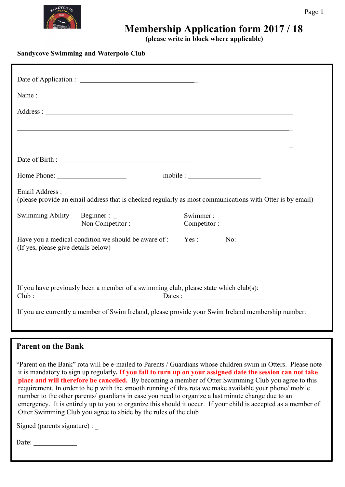# **Membership Application form 2017 / 18**

**(please write in block where applicable)**

**Sandycove Swimming and Waterpolo Club**

| Name:                                                                                                                                                                                                                                |                                                                                                                      |  |
|--------------------------------------------------------------------------------------------------------------------------------------------------------------------------------------------------------------------------------------|----------------------------------------------------------------------------------------------------------------------|--|
| Address: <u>and a series of the series of the series of the series of the series of the series of the series of the series of the series of the series of the series of the series of the series of the series of the series of </u> |                                                                                                                      |  |
|                                                                                                                                                                                                                                      | <u> 1989 - Andrea Santa Alemania, amerikana amerikana amerikana amerikana amerikana amerikana amerikana amerikan</u> |  |
|                                                                                                                                                                                                                                      | ,我们也不会有什么。""我们的人,我们也不会有什么?""我们的人,我们也不会有什么?""我们的人,我们也不会有什么?""我们的人,我们也不会有什么?""我们的人                                     |  |
|                                                                                                                                                                                                                                      |                                                                                                                      |  |
| Home Phone:                                                                                                                                                                                                                          | $\text{mobile}:$                                                                                                     |  |
| Email Address:<br>(please provide an email address that is checked regularly as most communications with Otter is by email)                                                                                                          |                                                                                                                      |  |
|                                                                                                                                                                                                                                      | Swimmer:                                                                                                             |  |
| Have you a medical condition we should be aware of : Yes : No:                                                                                                                                                                       |                                                                                                                      |  |
|                                                                                                                                                                                                                                      |                                                                                                                      |  |
| If you have previously been a member of a swimming club, please state which club(s):                                                                                                                                                 |                                                                                                                      |  |
| If you are currently a member of Swim Ireland, please provide your Swim Ireland membership number:                                                                                                                                   |                                                                                                                      |  |

#### **Parent on the Bank**

"Parent on the Bank" rota will be e-mailed to Parents / Guardians whose children swim in Otters. Please note it is mandatory to sign up regularly**. If you fail to turn up on your assigned date the session can not take place and will therefore be cancelled.** By becoming a member of Otter Swimming Club you agree to this requirement. In order to help with the smooth running of this rota we make available your phone/ mobile number to the other parents/ guardians in case you need to organize a last minute change due to an emergency. It is entirely up to you to organize this should it occur. If your child is accepted as a member of Otter Swimming Club you agree to abide by the rules of the club

Signed (parents signature) :

Date: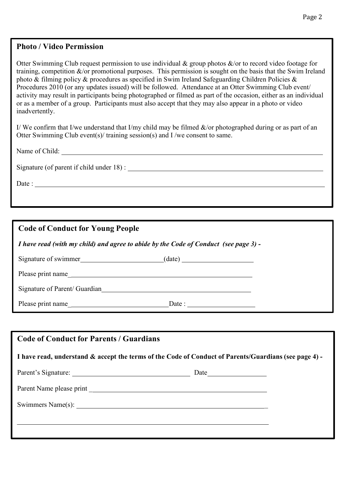#### **Photo / Video Permission**

Otter Swimming Club request permission to use individual & group photos &/or to record video footage for training, competition &/or promotional purposes. This permission is sought on the basis that the Swim Ireland photo & filming policy & procedures as specified in Swim Ireland Safeguarding Children Policies & Procedures 2010 (or any updates issued) will be followed. Attendance at an Otter Swimming Club event/ activity may result in participants being photographed or filmed as part of the occasion, either as an individual or as a member of a group. Participants must also accept that they may also appear in a photo or video inadvertently.

I/ We confirm that I/we understand that I/my child may be filmed  $\&$ /or photographed during or as part of an Otter Swimming Club event(s)/ training session(s) and I /we consent to same.

Name of Child:

Signature (of parent if child under 18) :

Date : The contract of the contract of the contract of the contract of the contract of the contract of the contract of the contract of the contract of the contract of the contract of the contract of the contract of the con

#### **Code of Conduct for Young People**

*I have read (with my child) and agree to abide by the Code of Conduct (see page 3) -*

| Signature of swimmer | (date) |  |
|----------------------|--------|--|
|                      |        |  |

Please print name

Signature of Parent/ Guardian

Please print name Date :

| <b>Code of Conduct for Parents / Guardians</b><br>I have read, understand & accept the terms of the Code of Conduct of Parents/Guardians (see page 4) - |  |  |  |
|---------------------------------------------------------------------------------------------------------------------------------------------------------|--|--|--|
|                                                                                                                                                         |  |  |  |
|                                                                                                                                                         |  |  |  |
|                                                                                                                                                         |  |  |  |
|                                                                                                                                                         |  |  |  |
|                                                                                                                                                         |  |  |  |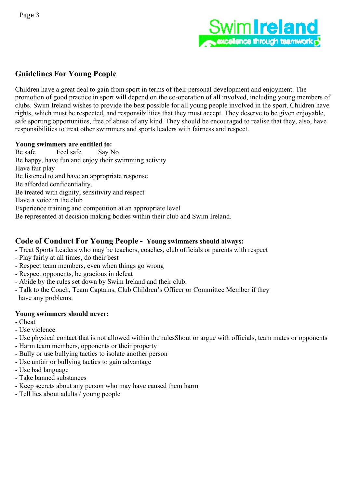

### **Guidelines For Young People**

Children have a great deal to gain from sport in terms of their personal development and enjoyment. The promotion of good practice in sport will depend on the co-operation of all involved, including young members of clubs. Swim Ireland wishes to provide the best possible for all young people involved in the sport. Children have rights, which must be respected, and responsibilities that they must accept. They deserve to be given enjoyable, safe sporting opportunities, free of abuse of any kind. They should be encouraged to realise that they, also, have responsibilities to treat other swimmers and sports leaders with fairness and respect.

#### **Young swimmers are entitled to:**

Be safe Feel safe Say No Be happy, have fun and enjoy their swimming activity Have fair play Be listened to and have an appropriate response Be afforded confidentiality. Be treated with dignity, sensitivity and respect Have a voice in the club Experience training and competition at an appropriate level Be represented at decision making bodies within their club and Swim Ireland.

#### **Code of Conduct For Young People - Young swimmers should always:**

- Treat Sports Leaders who may be teachers, coaches, club officials or parents with respect
- Play fairly at all times, do their best
- Respect team members, even when things go wrong
- Respect opponents, be gracious in defeat
- Abide by the rules set down by Swim Ireland and their club.
- Talk to the Coach, Team Captains, Club Children's Officer or Committee Member if they have any problems.

#### **Young swimmers should never:**

- Cheat
- Use violence
- Use physical contact that is not allowed within the rulesShout or argue with officials, team mates or opponents
- Harm team members, opponents or their property
- Bully or use bullying tactics to isolate another person
- Use unfair or bullying tactics to gain advantage
- Use bad language
- Take banned substances
- Keep secrets about any person who may have caused them harm
- Tell lies about adults / young people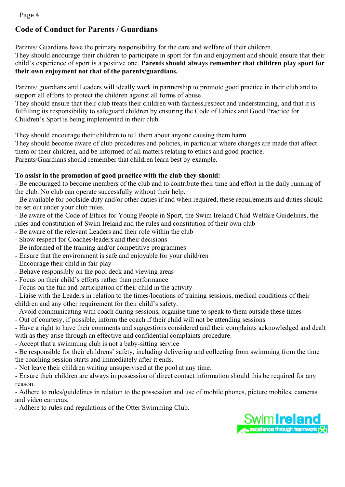Page 4

## **Code of Conduct for Parents / Guardians**

Parents/ Guardians have the primary responsibility for the care and welfare of their children.

They should encourage their children to participate in sport for fun and enjoyment and should ensure that their child's experience of sport is a positive one. **Parents should always remember that children play sport for their own enjoyment not that of the parents/guardians.**

Parents/ guardians and Leaders will ideally work in partnership to promote good practice in their club and to support all efforts to protect the children against all forms of abuse.

They should ensure that their club treats their children with fairness,respect and understanding, and that it is fulfilling its responsibility to safeguard children by ensuring the Code of Ethics and Good Practice for Children's Sport is being implemented in their club.

They should encourage their children to tell them about anyone causing them harm.

They should become aware of club procedures and policies, in particular where changes are made that affect them or their children, and be informed of all matters relating to ethics and good practice.

Parents/Guardians should remember that children learn best by example.

#### **To assist in the promotion of good practice with the club they should:**

- Be encouraged to become members of the club and to contribute their time and effort in the daily running of the club. No club can operate successfully without their help.

- Be available for poolside duty and/or other duties if and when required, these requirements and duties should be set out under your club rules.

- Be aware of the Code of Ethics for Young People in Sport, the Swim Ireland Child Welfare Guidelines, the rules and constitution of Swim Ireland and the rules and constitution of their own club

- Be aware of the relevant Leaders and their role within the club

- Show respect for Coaches/leaders and their decisions
- Be informed of the training and/or competitive programmes
- Ensure that the environment is safe and enjoyable for your child/ren
- Encourage their child in fair play
- Behave responsibly on the pool deck and viewing areas
- Focus on their child's efforts rather than performance
- Focus on the fun and participation of their child in the activity

- Liaise with the Leaders in relation to the times/locations of training sessions, medical conditions of their children and any other requirement for their child's safety.

- Avoid communicating with coach during sessions, organise time to speak to them outside these times
- Out of courtesy, if possible, inform the coach if their child will not be attending sessions

- Have a right to have their comments and suggestions considered and their complaints acknowledged and dealt with as they arise through an effective and confidential complaints procedure.

- Accept that a swimming club is not a baby-sitting service

- Be responsible for their childrens' safety, including delivering and collecting from swimming from the time the coaching session starts and immediately after it ends.

- Not leave their children waiting unsupervised at the pool at any time.

- Ensure their children are always in possession of direct contact information should this be required for any reason.

- Adhere to rules/guidelines in relation to the possession and use of mobile phones, picture mobiles, cameras and video cameras.

- Adhere to rules and regulations of the Otter Swimming Club.

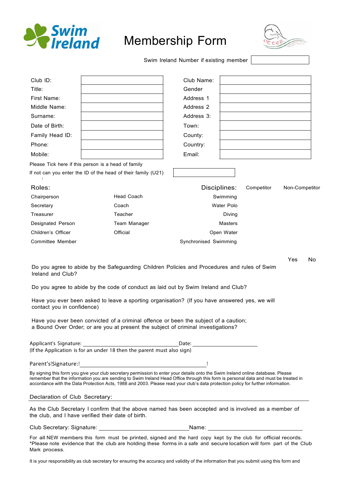

# Membership Form



Swim Ireland Number if existing member

| Club ID:                                        |                                                                                                                                                                                                                                                                                                                                                                                                                                                                  | Club Name:                                                                                                           |                   |            |                |  |
|-------------------------------------------------|------------------------------------------------------------------------------------------------------------------------------------------------------------------------------------------------------------------------------------------------------------------------------------------------------------------------------------------------------------------------------------------------------------------------------------------------------------------|----------------------------------------------------------------------------------------------------------------------|-------------------|------------|----------------|--|
| Title:                                          |                                                                                                                                                                                                                                                                                                                                                                                                                                                                  | Gender                                                                                                               |                   |            |                |  |
| First Name:                                     |                                                                                                                                                                                                                                                                                                                                                                                                                                                                  | Address 1                                                                                                            |                   |            |                |  |
| Middle Name:                                    |                                                                                                                                                                                                                                                                                                                                                                                                                                                                  | Address 2                                                                                                            |                   |            |                |  |
| Surname:                                        |                                                                                                                                                                                                                                                                                                                                                                                                                                                                  | Address 3:                                                                                                           |                   |            |                |  |
| Date of Birth:                                  |                                                                                                                                                                                                                                                                                                                                                                                                                                                                  | Town:                                                                                                                |                   |            |                |  |
| Family Head ID:                                 |                                                                                                                                                                                                                                                                                                                                                                                                                                                                  | County:                                                                                                              |                   |            |                |  |
| Phone:                                          |                                                                                                                                                                                                                                                                                                                                                                                                                                                                  | Country:                                                                                                             |                   |            |                |  |
| Mobile:                                         |                                                                                                                                                                                                                                                                                                                                                                                                                                                                  | Email:                                                                                                               |                   |            |                |  |
|                                                 | Please Tick here if this person is a head of family                                                                                                                                                                                                                                                                                                                                                                                                              |                                                                                                                      |                   |            |                |  |
|                                                 | If not can you enter the ID of the head of their family (U21)                                                                                                                                                                                                                                                                                                                                                                                                    |                                                                                                                      |                   |            |                |  |
| Roles:                                          |                                                                                                                                                                                                                                                                                                                                                                                                                                                                  | Disciplines:                                                                                                         |                   | Competitor | Non-Competitor |  |
| Chairperson                                     | <b>Head Coach</b>                                                                                                                                                                                                                                                                                                                                                                                                                                                |                                                                                                                      | Swimming          |            |                |  |
| Secretary                                       | Coach                                                                                                                                                                                                                                                                                                                                                                                                                                                            |                                                                                                                      | <b>Water Polo</b> |            |                |  |
| Treasurer                                       | Teacher                                                                                                                                                                                                                                                                                                                                                                                                                                                          |                                                                                                                      | Diving            |            |                |  |
| Designated Person                               | Team Manager                                                                                                                                                                                                                                                                                                                                                                                                                                                     |                                                                                                                      | <b>Masters</b>    |            |                |  |
| Children's Officer                              | Official                                                                                                                                                                                                                                                                                                                                                                                                                                                         |                                                                                                                      | Open Water        |            |                |  |
| Committee Member                                |                                                                                                                                                                                                                                                                                                                                                                                                                                                                  | Synchronised Swimming                                                                                                |                   |            |                |  |
| Ireland and Club?<br>contact you in confidence) | Do you agree to abide by the Safeguarding Children Policies and Procedures and rules of Swim<br>Do you agree to abide by the code of conduct as laid out by Swim Ireland and Club?<br>Have you ever been asked to leave a sporting organisation? (If you have answered yes, we will<br>Have you ever been convicted of a criminal offence or been the subject of a caution;<br>a Bound Over Order; or are you at present the subject of criminal investigations? |                                                                                                                      |                   |            |                |  |
|                                                 | Applicant's Signature: 1997 1997 1998<br>(If the Application is for an under 18 then the parent must also sign)                                                                                                                                                                                                                                                                                                                                                  | Date: <u>Date:</u>                                                                                                   |                   |            |                |  |
|                                                 |                                                                                                                                                                                                                                                                                                                                                                                                                                                                  |                                                                                                                      |                   |            |                |  |
|                                                 | By signing this form you give your club secretary permission to enter your details onto the Swim Ireland online database. Please<br>remember that the information you are sending to Swim Ireland Head Office through this form is personal data and must be treated in<br>accordance with the Data Protection Acts, 1988 and 2003. Please read your club's data protection policy for further information.                                                      |                                                                                                                      |                   |            |                |  |
| Declaration of Club Secretary:                  |                                                                                                                                                                                                                                                                                                                                                                                                                                                                  | <u> 1989 - Johann Barn, mars eta bainar eta bainar eta baina eta baina eta baina eta baina eta baina eta baina e</u> |                   |            |                |  |
|                                                 | As the Club Secretary I confirm that the above named has been accepted and is involved as a member of<br>the club, and I have verified their date of birth.                                                                                                                                                                                                                                                                                                      |                                                                                                                      |                   |            |                |  |
|                                                 |                                                                                                                                                                                                                                                                                                                                                                                                                                                                  |                                                                                                                      |                   |            |                |  |
| Mark process.                                   | For all NEW members this form must be printed, signed and the hard copy kept by the club for official records.<br>*Please note evidence that the club are holding these forms in a safe and secure location will form part of the Club                                                                                                                                                                                                                           |                                                                                                                      |                   |            |                |  |

It is your responsibility as club secretary for ensuring the accuracy and validity of the information that you submit using this form and